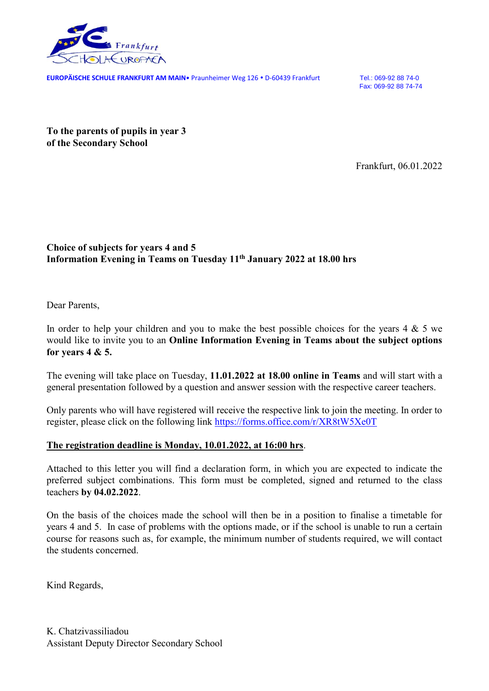

**EUROPÄISCHE SCHULE FRANKFURT AM MAIN**<sup>®</sup> Praunheimer Weg 126 . D-60439 Frankfurt Tel.: 069-92 88 74-0

Fax: 069-92 88 74-74

**To the parents of pupils in year 3 of the Secondary School**

Frankfurt, 06.01.2022

## **Choice of subjects for years 4 and 5 Information Evening in Teams on Tuesday 11 th January 2022 at 18.00 hrs**

Dear Parents,

In order to help your children and you to make the best possible choices for the years  $4 \& 5$  we would like to invite you to an **Online Information Evening in Teams about the subject options for years 4 & 5.** 

The evening will take place on Tuesday, **11.01.2022 at 18.00 online in Teams** and will start with a general presentation followed by a question and answer session with the respective career teachers.

Only parents who will have registered will receive the respective link to join the meeting. In order to register, please click on the following link <https://forms.office.com/r/XR8tW5Xe0T>

## **The registration deadline is Monday, 10.01.2022, at 16:00 hrs**.

Attached to this letter you will find a declaration form, in which you are expected to indicate the preferred subject combinations. This form must be completed, signed and returned to the class teachers **by 04.02.2022**.

On the basis of the choices made the school will then be in a position to finalise a timetable for years 4 and 5. In case of problems with the options made, or if the school is unable to run a certain course for reasons such as, for example, the minimum number of students required, we will contact the students concerned.

Kind Regards,